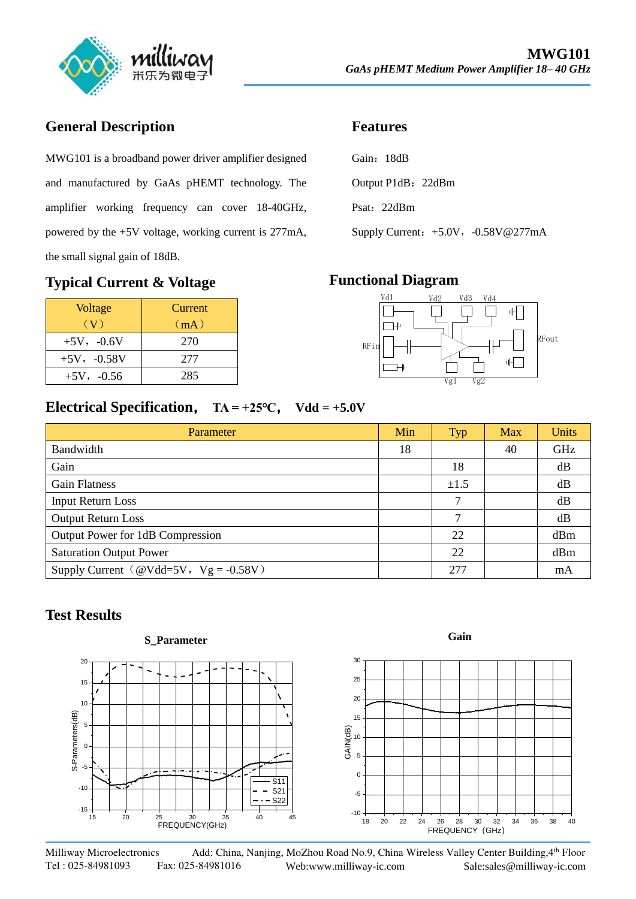

## **General Description**

MWG101 is a broadband power driver amplifier designed and manufactured by GaAs pHEMT technology. The amplifier working frequency can cover 18-40GHz, powered by the +5V voltage, working current is 277mA, the small signal gain of 18dB.

#### **Typical Current & Voltage**

| Voltage         | Current |
|-----------------|---------|
| (V)             | (mA)    |
| $+5V, -0.6V$    | 270     |
| $+5V, -0.58V$   | 277     |
| $+5V$ , $-0.56$ | 285     |

#### **Features**

| Gain: 18dB |             |                    |
|------------|-------------|--------------------|
|            |             | Output P1dB: 22dBm |
|            | Psat: 22dBm |                    |

Supply Current: +5.0V, -0.58V@277mA

#### **Functional Diagram**



## **Electrical Specification**, **TA = +25℃**, **Vdd = +5.0V**

| Parameter                                    | Min | <b>Typ</b> | Max | <b>Units</b> |
|----------------------------------------------|-----|------------|-----|--------------|
| Bandwidth                                    | 18  |            | 40  | GHz          |
| Gain                                         |     | 18         |     | dB           |
| <b>Gain Flatness</b>                         |     | ±1.5       |     | dB           |
| <b>Input Return Loss</b>                     |     | 7          |     | dB           |
| <b>Output Return Loss</b>                    |     | 7          |     | dB           |
| Output Power for 1dB Compression             |     | 22         |     | dBm          |
| <b>Saturation Output Power</b>               |     | 22         |     | dBm          |
| Supply Current ( $@Vdd=5V$ , $Vg = -0.58V$ ) |     | 277        |     | mA           |

## **Test Results**

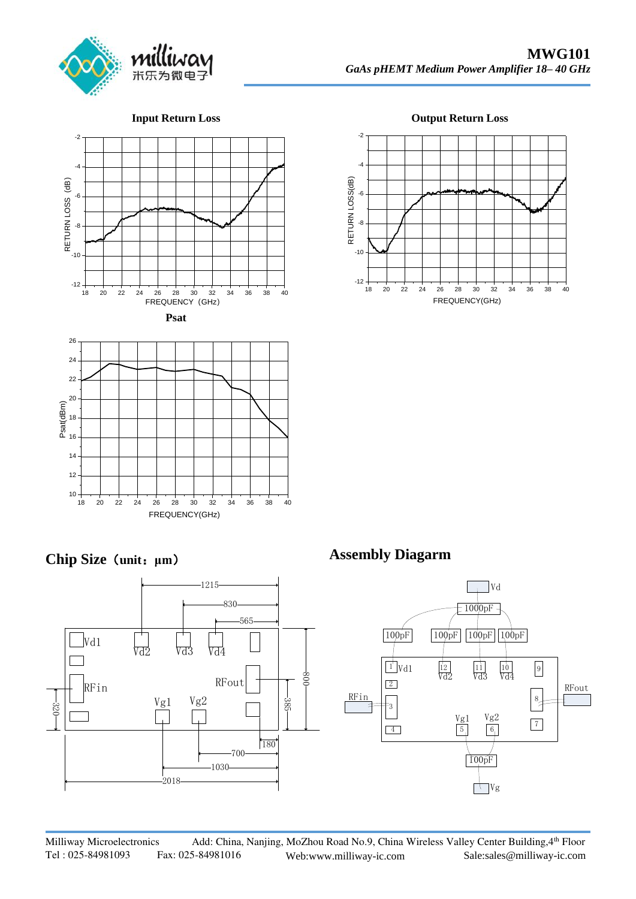

#### **Input Return Loss**







**Chip Size**(**unit**:**μm**)



**Output Return Loss**



**Assembly Diagarm**